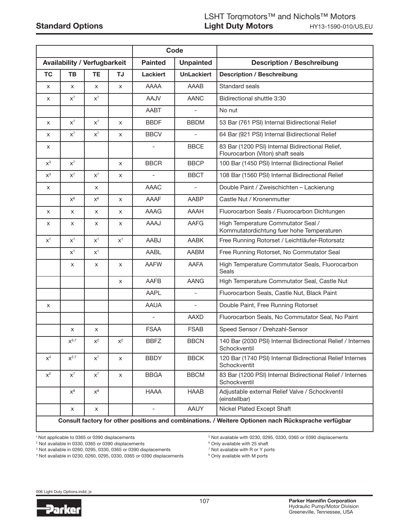|                                     |                |                | Code      |                                    |                          |                                                                                      |  |  |
|-------------------------------------|----------------|----------------|-----------|------------------------------------|--------------------------|--------------------------------------------------------------------------------------|--|--|
| <b>Availability / Verfugbarkeit</b> |                |                |           | <b>Unpainted</b><br><b>Painted</b> |                          | <b>Description / Beschreibung</b>                                                    |  |  |
| <b>TC</b>                           | <b>TB</b>      | <b>TE</b>      | <b>TJ</b> | <b>Lackiert</b>                    | <b>UnLackiert</b>        | <b>Description / Beschreibung</b>                                                    |  |  |
| X                                   | X              | X              | X         | AAAA                               | AAAB                     | Standard seals                                                                       |  |  |
| X                                   | $X^7$          | $X^7$          |           | <b>AAJV</b>                        | <b>AANC</b>              | Bidirectional shuttle 3:30                                                           |  |  |
|                                     |                |                |           | AABT                               | $\overline{\phantom{a}}$ | No nut                                                                               |  |  |
| X                                   | $X^7$          | $X^7$          | X         | <b>BBDF</b>                        | <b>BBDM</b>              | 53 Bar (761 PSI) Internal Bidirectional Relief                                       |  |  |
| X                                   | $X^7$          | $X^7$          | X         | <b>BBCV</b>                        |                          | 64 Bar (921 PSI) Internal Bidirectional Relief                                       |  |  |
| x                                   |                |                |           | $\overline{\phantom{a}}$           | <b>BBCE</b>              | 83 Bar (1200 PSI) Internal Bidirectional Relief,<br>Flourocarbon (Viton) shaft seals |  |  |
| $x^3$                               | $X^7$          |                | X         | <b>BBCR</b>                        | <b>BBCP</b>              | 100 Bar (1450 PSI) Internal Bidirectional Relief                                     |  |  |
| $x^3$                               | $X^7$          | $X^7$          | X         | L,                                 | <b>BBCT</b>              | 108 Bar (1560 PSI) Internal Bidirectional Relief                                     |  |  |
| X                                   |                | X              |           | <b>AAAC</b>                        |                          | Double Paint / Zweischichten - Lackierung                                            |  |  |
|                                     | $X^6$          | $X^6$          | X         | AAAF                               | AABP                     | Castle Nut / Kronenmutter                                                            |  |  |
| X                                   | X              | X              | X         | AAAG                               | <b>AAAH</b>              | Fluorocarbon Seals / Fluorocarbon Dichtungen                                         |  |  |
| x                                   | X              | X              | X         | AAAJ                               | <b>AAFG</b>              | High Temperature Commutator Seal /<br>Kommutatordichtung fuer hohe Temperaturen      |  |  |
| $X^1$                               | $X^1$          | $X^1$          | $X^1$     | AABJ                               | <b>AABK</b>              | Free Running Rotorset / Leichtläufer-Rotorsatz                                       |  |  |
|                                     | $X^1$          | $X^1$          |           | AABL                               | AABM                     | Free Running Rotorset, No Commutator Seal                                            |  |  |
|                                     | X              | X              | X         | <b>AAFW</b>                        | AAFA                     | High Temperature Commutator Seals, Fluorocarbon<br><b>Seals</b>                      |  |  |
|                                     |                |                | X         | AAFB                               | <b>AANG</b>              | High Temperature Commutator Seal, Castle Nut                                         |  |  |
|                                     |                |                |           | <b>AAPL</b>                        | $\equiv$                 | Fluorocarbon Seals, Castle Nut, Black Paint                                          |  |  |
| X                                   |                |                |           | <b>AAUA</b>                        | $\overline{\phantom{a}}$ | Double Paint, Free Running Rotorset                                                  |  |  |
|                                     |                |                |           | $\qquad \qquad \blacksquare$       | AAXD                     | Fluorocarbon Seals, No Commutator Seal, No Paint                                     |  |  |
|                                     | X              | X              |           | <b>FSAA</b>                        | <b>FSAB</b>              | Speed Sensor / Drehzahl-Sensor                                                       |  |  |
|                                     | $x^{5,7}$      | $\mathsf{X}^2$ | $x^2$     | <b>BBFZ</b>                        | <b>BBCN</b>              | 140 Bar (2030 PSI) Internal Bidirectional Relief / Internes<br>Schockventil          |  |  |
| $X^4$                               | $X^{2,7}$      | $X^7$          | X         | <b>BBDY</b>                        | <b>BBCK</b>              | 120 Bar (1740 PSI) Internal Bidirectional Relief Internes<br>Schockventit            |  |  |
| $\mathsf{X}^2$                      | $X^7$          | $X^7$          | X         | <b>BBGA</b>                        | <b>BBCM</b>              | 83 Bar (1200 PSI) Internal Bidirectional Relief / Internes<br>Schockventil           |  |  |
|                                     | $\mathsf{X}^8$ | $\mathsf{X}^8$ |           | <b>HAAA</b>                        | <b>HAAB</b>              | Adjustable external Relief Valve / Schockventil<br>(einstellbar)                     |  |  |
|                                     | X              | X              |           | $\overline{\phantom{a}}$           | AAUY                     | Nickel Plated Except Shaft                                                           |  |  |

Consult factory for other positions and combinations. / Weitere Optionen nach Rücksprache verfügbar

1 Not applicable to 0365 or 0390 displacements

2 Not available in 0330, 0365 or 0390 displacements

3 Not available in 0260, 0295, 0330, 0365 or 0390 displacements

5 Not available with 0230, 0295, 0330, 0365 or 0390 displacements

<sup>6</sup> Only available with 25 shaft

7 Not available with R or Y ports

4 Not available in 0230, 0260, 0295, 0330, 0365 or 0390 displacements

- 
- <sup>8</sup> Only available with M ports

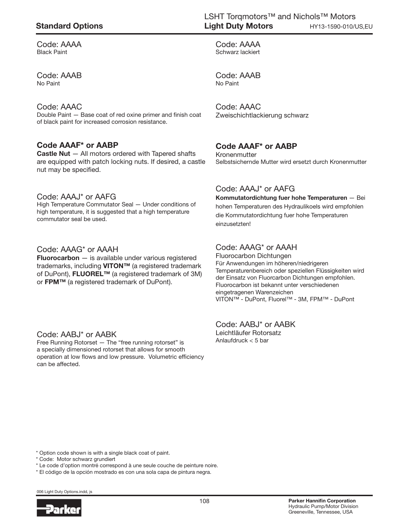## Standard Options

Code: AAAA Black Paint

Code: AAAB No Paint

#### Code: AAAC

Double Paint — Base coat of red oxine primer and finish coat of black paint for increased corrosion resistance.

### Code AAAF\* or AABP

Castle Nut — All motors ordered with Tapered shafts are equipped with patch locking nuts. If desired, a castle nut may be specified.

#### Code: AAAJ\* or AAFG

High Temperature Commutator Seal — Under conditions of high temperature, it is suggested that a high temperature commutator seal be used.

#### Code: AAAG\* or AAAH

**Fluorocarbon**  $-$  is available under various registered trademarks, including VITON™ (a registered trademark of DuPont), FLUOREL<sup>™</sup> (a registered trademark of 3M) or FPM™ (a registered trademark of DuPont).

#### Code: AABJ\* or AABK

Free Running Rotorset — The "free running rotorset" is a specially dimensioned rotorset that allows for smooth operation at low flows and low pressure. Volumetric efficiency can be affected.

Code: AAAA Schwarz lackiert

Code: AAAB No Paint

Code: AAAC Zweischichtlackierung schwarz

### Code AAAF\* or AABP

Kronenmutter Selbstsichernde Mutter wird ersetzt durch Kronenmutter

### Code: AAAJ\* or AAFG

Kommutatordichtung fuer hohe Temperaturen — Bei hohen Temperaturen des Hydraulikoels wird empfohlen die Kommutatordichtung fuer hohe Temperaturen einzusetzten!

### Code: AAAG\* or AAAH

Fluorocarbon Dichtungen Für Anwendungen im höheren/niedrigeren Temperaturenbereich oder speziellen Flüssigkeiten wird der Einsatz von Fluorcarbon Dichtungen empfohlen. Fluorocarbon ist bekannt unter verschiedenen eingetragenen Warenzeichen VITON™ - DuPont, Fluorel™ - 3M, FPM™ - DuPont

Code: AABJ\* or AABK Leichtläufer Rotorsatz Anlaufdruck < 5 bar

\* Option code shown is with a single black coat of paint.

\* Code: Motor schwarz grundiert

\* Le code d'option montré correspond à une seule couche de peinture noire.

\* El código de la opción mostrado es con una sola capa de pintura negra.

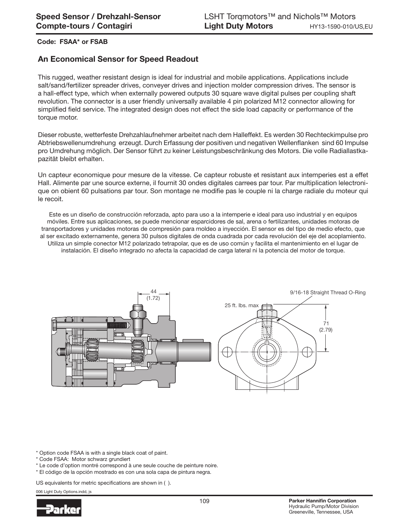#### Code: FSAA\* or FSAB

### An Economical Sensor for Speed Readout

This rugged, weather resistant design is ideal for industrial and mobile applications. Applications include salt/sand/fertilizer spreader drives, conveyer drives and injection molder compression drives. The sensor is a hall-effect type, which when externally powered outputs 30 square wave digital pulses per coupling shaft revolution. The connector is a user friendly universally available 4 pin polarized M12 connector allowing for simplified field service. The integrated design does not effect the side load capacity or performance of the torque motor.

Dieser robuste, wetterfeste Drehzahlaufnehmer arbeitet nach dem Halleffekt. Es werden 30 Rechteckimpulse pro Abtriebswellenumdrehung erzeugt. Durch Erfassung der positiven und negativen Wellenflanken sind 60 Impulse pro Umdrehung möglich. Der Sensor führt zu keiner Leistungsbeschränkung des Motors. Die volle Radiallastkapazität bleibt erhalten.

Un capteur economique pour mesure de la vitesse. Ce capteur robuste et resistant aux intemperies est a effet Hall. Alimente par une source externe, il fournit 30 ondes digitales carrees par tour. Par multiplication lelectronique on obient 60 pulsations par tour. Son montage ne modifie pas le couple ni la charge radiale du moteur qui le recoit.

Este es un diseño de construcción reforzada, apto para uso a la intemperie e ideal para uso industrial y en equipos móviles. Entre sus aplicaciones, se puede mencionar esparcidores de sal, arena o fertilizantes, unidades motoras de transportadores y unidades motoras de compresión para moldeo a inyección. El sensor es del tipo de medio efecto, que al ser excitado externamente, genera 30 pulsos digitales de onda cuadrada por cada revolución del eje del acoplamiento. Utiliza un simple conector M12 polarizado tetrapolar, que es de uso común y facilita el mantenimiento en el lugar de instalación. El diseño integrado no afecta la capacidad de carga lateral ni la potencia del motor de torque.



\* Option code FSAA is with a single black coat of paint.

\* Code FSAA: Motor schwarz grundiert

\* Le code d'option montré correspond à une seule couche de peinture noire.

\* El código de la opción mostrado es con una sola capa de pintura negra.

US equivalents for metric specifications are shown in ( ).

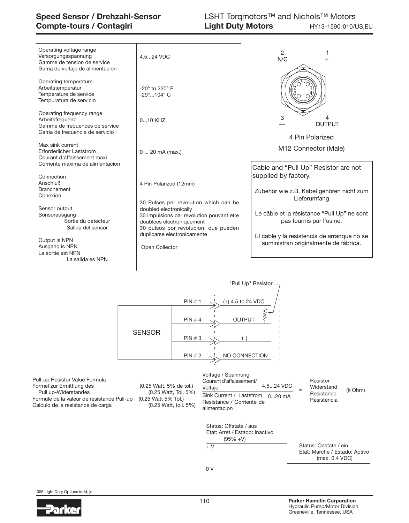| Operating temperature<br>Arbeitstemperatur<br>$-20^\circ$ to 220 $^\circ$ F<br>Temperature de service<br>$-29^{\circ}$ 104 $^{\circ}$ C<br>Tempuratura de servicio<br>Operating frequency range<br>3<br>Arbeitsfrequenz<br>$010$ KHZ<br><b>OUTPUT</b><br>Gamme de frequences de service<br>Gama de frecuencia de servicio<br>4 Pin Polarized<br>Max sink current<br>M12 Connector (Male)<br>Erforderlicher Laststrom<br>0  20 mA (max.)<br>Courant d'affaissement maxi<br>Corriente maxima de alimentacion<br>Cable and "Pull Up" Resistor are not<br>supplied by factory.<br>Connection<br>Anschluß<br>4 Pin Polarized (12mm)<br><b>Branchement</b><br>Conexion<br>Lieferumfang<br>30 Pulses per revolution which can be<br>Sensor output<br>doubled electronically<br>Sonsorausgang<br>30 impulsions par revolution pouvant etre<br>pas fournis par l'usine.<br>Sortie du détecteur<br>doublees electroniquement | Operating voltage range<br>Versorgungsspannung<br>Gamme de tension de service<br>Gama de voltaje de alimentacion | 4.5.24 VDC                           | $\overline{2}$<br>N/C                                                                                                                  |  |  |  |
|--------------------------------------------------------------------------------------------------------------------------------------------------------------------------------------------------------------------------------------------------------------------------------------------------------------------------------------------------------------------------------------------------------------------------------------------------------------------------------------------------------------------------------------------------------------------------------------------------------------------------------------------------------------------------------------------------------------------------------------------------------------------------------------------------------------------------------------------------------------------------------------------------------------------|------------------------------------------------------------------------------------------------------------------|--------------------------------------|----------------------------------------------------------------------------------------------------------------------------------------|--|--|--|
|                                                                                                                                                                                                                                                                                                                                                                                                                                                                                                                                                                                                                                                                                                                                                                                                                                                                                                                    |                                                                                                                  |                                      |                                                                                                                                        |  |  |  |
|                                                                                                                                                                                                                                                                                                                                                                                                                                                                                                                                                                                                                                                                                                                                                                                                                                                                                                                    |                                                                                                                  |                                      |                                                                                                                                        |  |  |  |
|                                                                                                                                                                                                                                                                                                                                                                                                                                                                                                                                                                                                                                                                                                                                                                                                                                                                                                                    |                                                                                                                  |                                      |                                                                                                                                        |  |  |  |
| duplicarse electronicamente<br>Output is NPN<br>suministran originalmente de fábrica.<br>Ausgang is NPN<br>Open Collector<br>La sortie est NPN                                                                                                                                                                                                                                                                                                                                                                                                                                                                                                                                                                                                                                                                                                                                                                     | Salida del sensor                                                                                                | 30 pulsos por revolucion, que pueden | Zubehör wie z.B. Kabel gehören nicht zum<br>Le câble et la résistance "Pull Up" ne sont<br>El cable y la resistencia de arranque no se |  |  |  |



Pull-up Resistor Value Formula Formel zur Ermittlung des (0.25 Watt, 5% de tol.)<br>Pull up-Widerstandes (0.25 Watt, Tol. 5%) Pull up-Widerstandes (0.25 Watt, Tol.<br>3 yrmule de la valeur de resistance Pull-up (0.25 Watt 5% Tol.) Formule de la valeur de resistance Pull-up (0.25 Watt 5% Tol.)<br>Calculo de la resistance de carga (0.25 Watt, toll. 5%) Calculo de la resistance de carga

Voltage / Spannung Courant d'affaissement/ Voltaje Sink Current / Laststrom 0...20 mA Resistance / Corriente de alimentacion 4.5...24 VDC

(k Ohm) Resistor Widerstand Resistance Resistencia

=

Status: Offstate / aus Etat: Arret / Estado: Inactivo (95% +V)

 $+\sqrt{}$ 

(max. 0.4 VDC) Status: Onstate / ein Etat: Marche / Estado: Activo

0 V

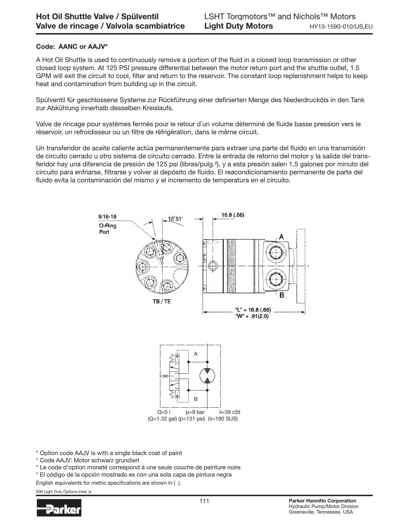#### Code: AANC or AAJV\*

A Hot Oil Shuttle is used to continuously remove a portion of the fluid in a closed loop transmission or other closed loop system. At 125 PSI pressure differential between the motor return port and the shuttle outlet, 1.5 GPM will exit the circuit to cool, filter and return to the reservoir. The constant loop replenishment helps to keep heat and contamination from building up in the circuit.

Spülventil für geschlossene Systeme zur Rückführung einer definierten Menge des Niederdrucköls in den Tank zur Abkühlung innerhalb desselben Kreislaufs.

Valve de rincage pour systèmes fermès pour le retour d`un volume dèterminè de fluide basse pression vers le rèservoir, un refroidisseur ou un filtre de rèfrigèration, dans le même circuit.

Un transferidor de aceite caliente actúa permanentemente para extraer una parte del fluido en una transmisión de circuito cerrado u otro sistema de circuito cerrado. Entre la entrada de retorno del motor y la salida del transferidor hay una diferencia de presión de 125 psi (libras/pulg.²), y a esta presión salen 1,5 galones por minuto del circuito para enfriarse, filtrarse y volver al depósito de fluido. El reacondicionamiento permanente de parte del fluido evita la contaminación del mismo y el incremento de temperatura en el circuito.



\* Option code AAJV is with a single black coat of paint

- \* Code AAJV: Motor schwarz grundiert
- \* Le code d'option moneté correspond à une seule couche de peinture noire
- \* El código de la opción mostrado es con una sola capa de pintura negra

English equivalents for metric specifications are shown in ( ).

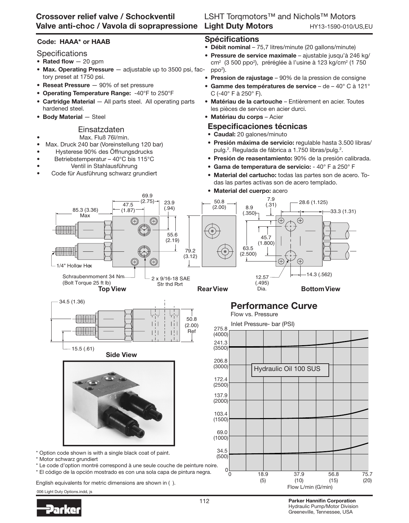# Valve anti-choc / Vavola di soprapressione Light Duty Motors Crossover relief valve / Schockventil

# LSHT Torqmotors™ and Nichols™ Motors HY13-1590-010/US,EU

### Code: HAAA\* or HAAB

### **Specifications**

- Rated flow  $-20$  gpm
- Max. Operating Pressure adjustable up to 3500 psi, factory preset at 1750 psi.
- Reseat Pressure 90% of set pressure
- Operating Temperature Range: -40°F to 250°F
- Cartridge Material All parts steel. All operating parts hardened steel.
- Body Material Steel

### Einsatzdaten

### • Max. Fluß 76l/min.

- Max. Druck 240 bar (Voreinstellung 120 bar)
- Hysterese 90% des Öffnungsdrucks
- Betriebstemperatur 40°C bis 115°C
- Ventil in Stahlausführung
- Code für Ausführung schwarz grundiert

# Spécifications

- Débit nominal 75,7 litres/minute (20 gallons/minute)
- Pressure de service maximale ajustable jusqu'à 246 kg/ cm<sup>2</sup> (3 500 ppo<sup>2</sup>), préréglée à l'usine à 123 kg/cm<sup>2</sup> (1 750  $ppo<sup>2</sup>$ ).
- **Pression de rajustage** 90% de la pression de consigne
- Gamme des températures de service de 40° C à 121° C (-40° F à 250° F).
- Matériau de la cartouche Entièrement en acier. Toutes les pièces de service en acier durci.
- Matériau du corps Acier

### Especificaciones técnicas

- Caudal: 20 galones/minuto
- Presión máxima de servicio: regulable hasta 3.500 libras/ pulg.<sup>2</sup>. Regulada de fábrica a 1.750 libras/pulg.<sup>2</sup>.
- Presión de reasentamiento: 90% de la presión calibrada.
- Gama de temperatura de servicio: 40° F a 250° F
- Material del cartucho: todas las partes son de acero. Todas las partes activas son de acero templado.
- Material del cuerpo: acero



English equivalents for metric dimensions are shown in ( ).

006 Light Duty Options.indd, js



112 Parker Hannifin Corporation Hydraulic Pump/Motor Division Greeneville, Tennessee, USA

Flow L/min (G/min)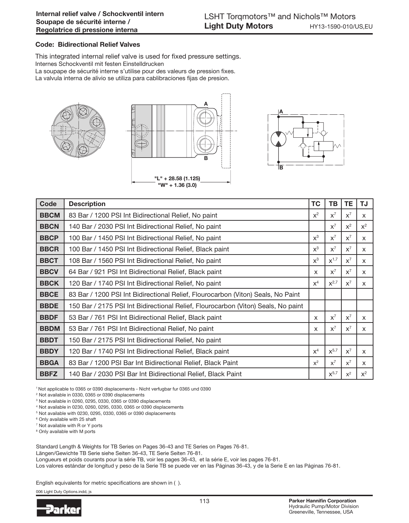#### Code: Bidirectional Relief Valves

This integrated internal relief valve is used for fixed pressure settings.

Internes Schockventil mit festen Einstelldrucken

La soupape de sécurité interne s'utilise pour des valeurs de pression fixes.

La valvula interna de alivio se utiliza para cablibraciones fijas de presion.







| Code        | <b>Description</b>                                                                | <b>TC</b> | TB                 | TE.   | TJ           |
|-------------|-----------------------------------------------------------------------------------|-----------|--------------------|-------|--------------|
| <b>BBCM</b> | 83 Bar / 1200 PSI Int Bidirectional Relief, No paint                              | $x^2$     | $X^7$              | $X^7$ | $\times$     |
| <b>BBCN</b> | 140 Bar / 2030 PSI Int Bidirectional Relief, No paint                             |           | $X^7$              | $x^2$ | $x^2$        |
| <b>BBCP</b> | 100 Bar / 1450 PSI Int Bidirectional Relief, No paint                             | $x^3$     | $X^7$              | $X^7$ | $\mathsf{x}$ |
| <b>BBCR</b> | 100 Bar / 1450 PSI Int Bidirectional Relief, Black paint                          | $x^3$     | $X^7$              | $X^7$ | X            |
| <b>BBCT</b> | 108 Bar / 1560 PSI Int Bidirectional Relief, No paint                             | $x^3$     | $X^{1,7}$          | $X^7$ | $\mathsf{x}$ |
| <b>BBCV</b> | 64 Bar / 921 PSI Int Bidirectional Relief, Black paint                            | X         | $X^7$              | $X^7$ | X            |
| <b>BBCK</b> | 120 Bar / 1740 PSI Int Bidirectional Relief, No paint                             | $x^4$     | $X^{2,7}$          | $X^7$ | $\mathsf{x}$ |
| <b>BBCE</b> | 83 Bar / 1200 PSI Int Bidirectional Relief, Flourocarbon (Viton) Seals, No Paint  |           |                    |       |              |
| <b>BBDE</b> | 150 Bar / 2175 PSI Int Bidirectional Relief, Flourocarbon (Viton) Seals, No paint |           |                    |       |              |
| <b>BBDF</b> | 53 Bar / 761 PSI Int Bidirectional Relief, Black paint                            | X         | $X^7$              | $X^7$ | X            |
| <b>BBDM</b> | 53 Bar / 761 PSI Int Bidirectional Relief, No paint                               | X         | $x^7$              | $X^7$ | $\mathsf{x}$ |
| <b>BBDT</b> | 150 Bar / 2175 PSI Int Bidirectional Relief, No paint                             |           |                    |       |              |
| <b>BBDY</b> | 120 Bar / 1740 PSI Int Bidirectional Relief, Black paint                          | $X^4$     | $X^{5,7}$          | $X^7$ | $\mathsf{x}$ |
| <b>BBGA</b> | 83 Bar / 1200 PSI Bar Int Bidirectional Relief, Black Paint                       | $x^2$     | $x^7$              | $x^7$ | $\mathsf{x}$ |
| <b>BBFZ</b> | 140 Bar / 2030 PSI Bar Int Bidirectional Relief, Black Paint                      |           | $\mathsf{X}^{5,7}$ | $x^2$ | $x^2$        |

1 Not applicable to 0365 or 0390 displacements - Nicht verfugbar fur 0365 und 0390

2 Not available in 0330, 0365 or 0390 displacements

3 Not available in 0260, 0295, 0330, 0365 or 0390 displacements

4 Not available in 0230, 0260, 0295, 0330, 0365 or 0390 displacements

5 Not available with 0230, 0295, 0330, 0365 or 0390 displacements

6 Only available with 25 shaft

7 Not available with R or Y ports

<sup>8</sup> Only available with M ports

Standard Length & Weights for TB Series on Pages 36-43 and TE Series on Pages 76-81.

Längen/Gewichte TB Serie siehe Seiten 36-43, TE Serie Seiten 76-81.

Longueurs et poids courants pour la série TB, voir les pages 36-43, et la série E, voir les pages 76-81.

Los valores estándar de longitud y peso de la Serie TB se puede ver en las Páginas 36-43, y de la Serie E en las Páginas 76-81.

English equivalents for metric specifications are shown in ( ).